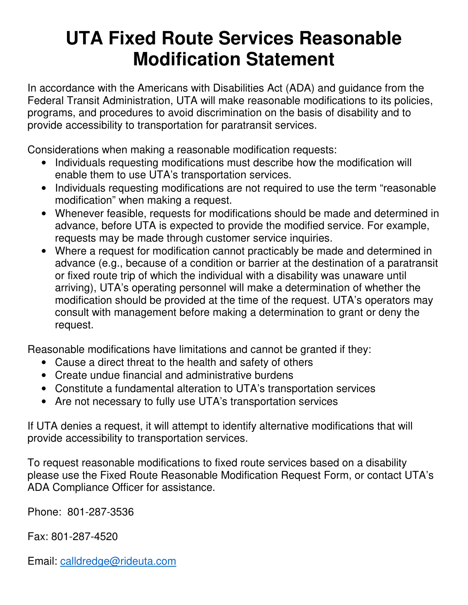## **UTA Fixed Route Services Reasonable Modification Statement**

In accordance with the Americans with Disabilities Act (ADA) and guidance from the Federal Transit Administration, UTA will make reasonable modifications to its policies, programs, and procedures to avoid discrimination on the basis of disability and to provide accessibility to transportation for paratransit services.

Considerations when making a reasonable modification requests:

- Individuals requesting modifications must describe how the modification will enable them to use UTA's transportation services.
- Individuals requesting modifications are not required to use the term "reasonable" modification" when making a request.
- Whenever feasible, requests for modifications should be made and determined in advance, before UTA is expected to provide the modified service. For example, requests may be made through customer service inquiries.
- Where a request for modification cannot practicably be made and determined in advance (e.g., because of a condition or barrier at the destination of a paratransit or fixed route trip of which the individual with a disability was unaware until arriving), UTA's operating personnel will make a determination of whether the modification should be provided at the time of the request. UTA's operators may consult with management before making a determination to grant or deny the request.

Reasonable modifications have limitations and cannot be granted if they:

- Cause a direct threat to the health and safety of others
- Create undue financial and administrative burdens
- Constitute a fundamental alteration to UTA's transportation services
- Are not necessary to fully use UTA's transportation services

If UTA denies a request, it will attempt to identify alternative modifications that will provide accessibility to transportation services.

To request reasonable modifications to fixed route services based on a disability please use the Fixed Route Reasonable Modification Request Form, or contact UTA's ADA Compliance Officer for assistance.

Phone: 801-287-3536

Fax: 801-287-4520

Email: calldredge@rideuta.com